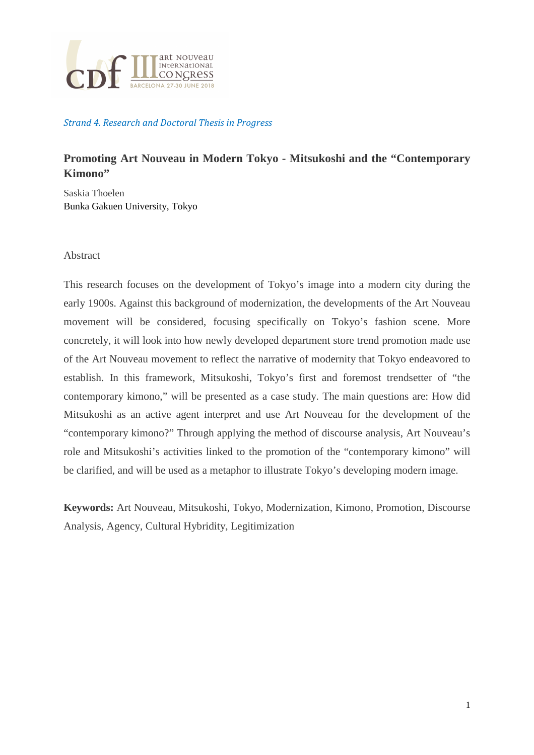

## Strand 4. Research and Doctoral Thesis in Progress

# **Promoting Art Nouveau in Modern Tokyo - Mitsukoshi and the "Contemporary Kimono"**

Saskia Thoelen Bunka Gakuen University, Tokyo

#### Abstract

This research focuses on the development of Tokyo's image into a modern city during the early 1900s. Against this background of modernization, the developments of the Art Nouveau movement will be considered, focusing specifically on Tokyo's fashion scene. More concretely, it will look into how newly developed department store trend promotion made use of the Art Nouveau movement to reflect the narrative of modernity that Tokyo endeavored to establish. In this framework, Mitsukoshi, Tokyo's first and foremost trendsetter of "the contemporary kimono," will be presented as a case study. The main questions are: How did Mitsukoshi as an active agent interpret and use Art Nouveau for the development of the "contemporary kimono?" Through applying the method of discourse analysis, Art Nouveau's role and Mitsukoshi's activities linked to the promotion of the "contemporary kimono" will be clarified, and will be used as a metaphor to illustrate Tokyo's developing modern image.

**Keywords:** Art Nouveau, Mitsukoshi, Tokyo, Modernization, Kimono, Promotion, Discourse Analysis, Agency, Cultural Hybridity, Legitimization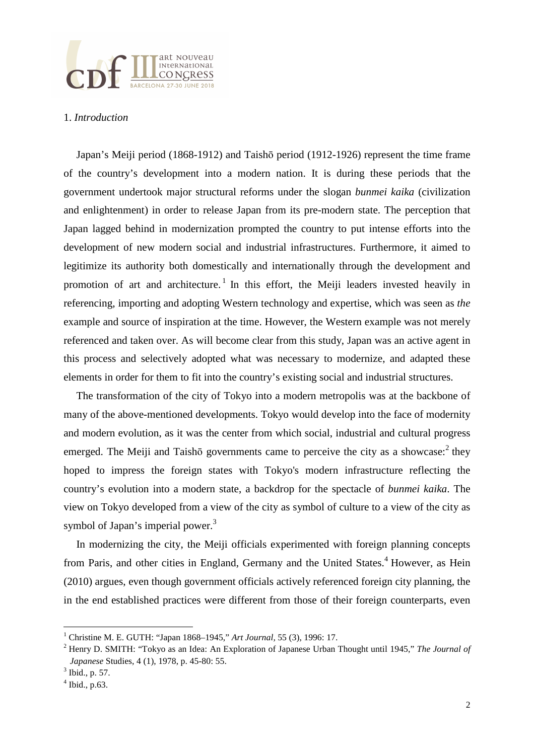

### 1. *Introduction*

Japan's Meiji period (1868-1912) and Taishō period (1912-1926) represent the time frame of the country's development into a modern nation. It is during these periods that the government undertook major structural reforms under the slogan *bunmei kaika* (civilization and enlightenment) in order to release Japan from its pre-modern state. The perception that Japan lagged behind in modernization prompted the country to put intense efforts into the development of new modern social and industrial infrastructures. Furthermore, it aimed to legitimize its authority both domestically and internationally through the development and promotion of art and architecture.<sup>1</sup> In this effort, the Meiji leaders invested heavily in referencing, importing and adopting Western technology and expertise, which was seen as *the* example and source of inspiration at the time. However, the Western example was not merely referenced and taken over. As will become clear from this study, Japan was an active agent in this process and selectively adopted what was necessary to modernize, and adapted these elements in order for them to fit into the country's existing social and industrial structures.

The transformation of the city of Tokyo into a modern metropolis was at the backbone of many of the above-mentioned developments. Tokyo would develop into the face of modernity and modern evolution, as it was the center from which social, industrial and cultural progress emerged. The Meiji and Taishō governments came to perceive the city as a showcase: $2$  they hoped to impress the foreign states with Tokyo's modern infrastructure reflecting the country's evolution into a modern state, a backdrop for the spectacle of *bunmei kaika*. The view on Tokyo developed from a view of the city as symbol of culture to a view of the city as symbol of Japan's imperial power.<sup>3</sup>

In modernizing the city, the Meiji officials experimented with foreign planning concepts from Paris, and other cities in England, Germany and the United States.<sup>4</sup> However, as Hein (2010) argues, even though government officials actively referenced foreign city planning, the in the end established practices were different from those of their foreign counterparts, even

<sup>1</sup> Christine M. E. GUTH: "Japan 1868–1945," *Art Journal,* 55 (3), 1996: 17.

<sup>2</sup> Henry D. SMITH: "Tokyo as an Idea: An Exploration of Japanese Urban Thought until 1945," *The Journal of Japanese* Studies, 4 (1), 1978, p. 45-80: 55.

 $3$  Ibid., p. 57.

 $<sup>4</sup>$  Ibid., p.63.</sup>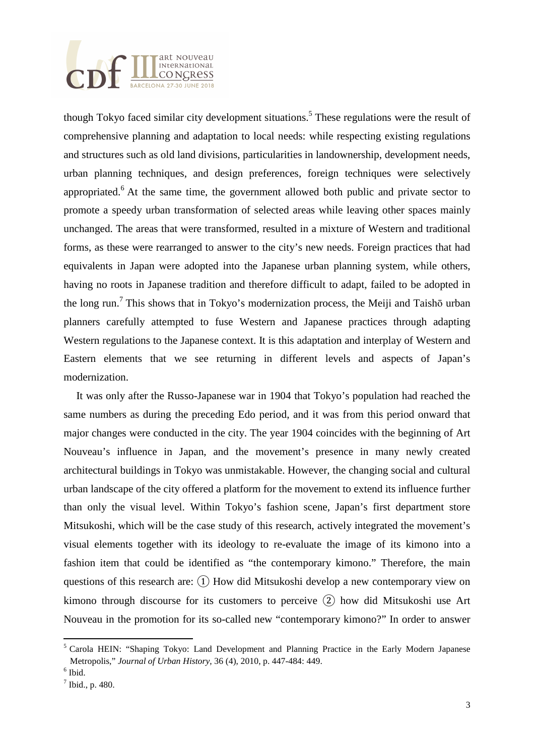

though Tokyo faced similar city development situations.<sup>5</sup> These regulations were the result of comprehensive planning and adaptation to local needs: while respecting existing regulations and structures such as old land divisions, particularities in landownership, development needs, urban planning techniques, and design preferences, foreign techniques were selectively appropriated.<sup>6</sup> At the same time, the government allowed both public and private sector to promote a speedy urban transformation of selected areas while leaving other spaces mainly unchanged. The areas that were transformed, resulted in a mixture of Western and traditional forms, as these were rearranged to answer to the city's new needs. Foreign practices that had equivalents in Japan were adopted into the Japanese urban planning system, while others, having no roots in Japanese tradition and therefore difficult to adapt, failed to be adopted in the long run.<sup>7</sup> This shows that in Tokyo's modernization process, the Meiji and Taishō urban planners carefully attempted to fuse Western and Japanese practices through adapting Western regulations to the Japanese context. It is this adaptation and interplay of Western and Eastern elements that we see returning in different levels and aspects of Japan's modernization.

It was only after the Russo-Japanese war in 1904 that Tokyo's population had reached the same numbers as during the preceding Edo period, and it was from this period onward that major changes were conducted in the city. The year 1904 coincides with the beginning of Art Nouveau's influence in Japan, and the movement's presence in many newly created architectural buildings in Tokyo was unmistakable. However, the changing social and cultural urban landscape of the city offered a platform for the movement to extend its influence further than only the visual level. Within Tokyo's fashion scene, Japan's first department store Mitsukoshi, which will be the case study of this research, actively integrated the movement's visual elements together with its ideology to re-evaluate the image of its kimono into a fashion item that could be identified as "the contemporary kimono." Therefore, the main questions of this research are:  $(1)$  How did Mitsukoshi develop a new contemporary view on kimono through discourse for its customers to perceive ② how did Mitsukoshi use Art Nouveau in the promotion for its so-called new "contemporary kimono?" In order to answer

<sup>&</sup>lt;sup>5</sup> Carola HEIN: "Shaping Tokyo: Land Development and Planning Practice in the Early Modern Japanese Metropolis," *Journal of Urban History*, 36 (4), 2010, p. 447-484: 449.

 $<sup>6</sup>$  Ibid.</sup>

 $<sup>7</sup>$  Ibid., p. 480.</sup>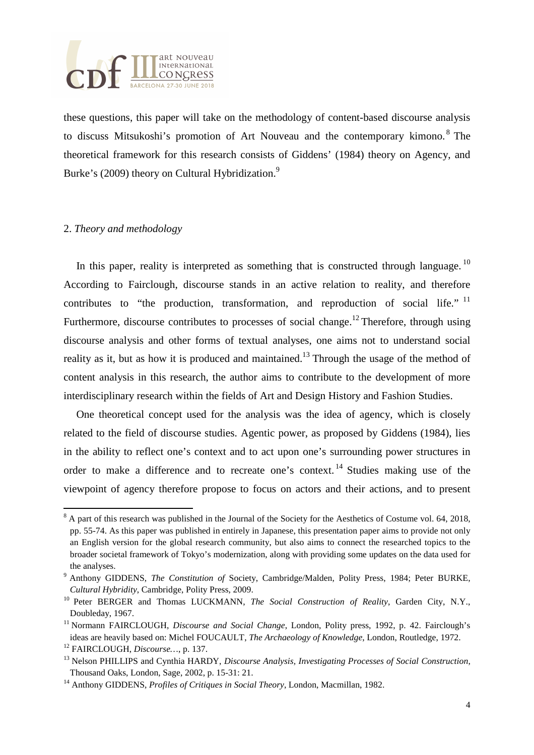

these questions, this paper will take on the methodology of content-based discourse analysis to discuss Mitsukoshi's promotion of Art Nouveau and the contemporary kimono.<sup>8</sup> The theoretical framework for this research consists of Giddens' (1984) theory on Agency, and Burke's (2009) theory on Cultural Hybridization.<sup>9</sup>

#### 2. *Theory and methodology*

In this paper, reality is interpreted as something that is constructed through language.<sup>10</sup> According to Fairclough, discourse stands in an active relation to reality, and therefore contributes to "the production, transformation, and reproduction of social life."  $11$ Furthermore, discourse contributes to processes of social change.<sup>12</sup> Therefore, through using discourse analysis and other forms of textual analyses, one aims not to understand social reality as it, but as how it is produced and maintained.<sup>13</sup> Through the usage of the method of content analysis in this research, the author aims to contribute to the development of more interdisciplinary research within the fields of Art and Design History and Fashion Studies.

One theoretical concept used for the analysis was the idea of agency, which is closely related to the field of discourse studies. Agentic power, as proposed by Giddens (1984), lies in the ability to reflect one's context and to act upon one's surrounding power structures in order to make a difference and to recreate one's context. <sup>14</sup> Studies making use of the viewpoint of agency therefore propose to focus on actors and their actions, and to present

 $8$  A part of this research was published in the Journal of the Society for the Aesthetics of Costume vol. 64, 2018, pp. 55-74. As this paper was published in entirely in Japanese, this presentation paper aims to provide not only an English version for the global research community, but also aims to connect the researched topics to the broader societal framework of Tokyo's modernization, along with providing some updates on the data used for the analyses.

<sup>9</sup> Anthony GIDDENS, *The Constitution of* Society, Cambridge/Malden, Polity Press, 1984; Peter BURKE, *Cultural Hybridity*, Cambridge, Polity Press, 2009.

<sup>&</sup>lt;sup>10</sup> Peter BERGER and Thomas LUCKMANN, *The Social Construction of Reality*, Garden City, N.Y., Doubleday, 1967.

<sup>&</sup>lt;sup>11</sup> Normann FAIRCLOUGH, *Discourse and Social Change*, London, Polity press, 1992, p. 42. Fairclough's ideas are heavily based on: Michel FOUCAULT, *The Archaeology of Knowledge*, London, Routledge, 1972.

<sup>12</sup> FAIRCLOUGH, *Discourse…*, p. 137.

<sup>13</sup> Nelson PHILLIPS and Cynthia HARDY, *Discourse Analysis, Investigating Processes of Social Construction*, Thousand Oaks, London, Sage, 2002, p. 15-31: 21.

<sup>14</sup> Anthony GIDDENS, *Profiles of Critiques in Social Theory*, London, Macmillan, 1982.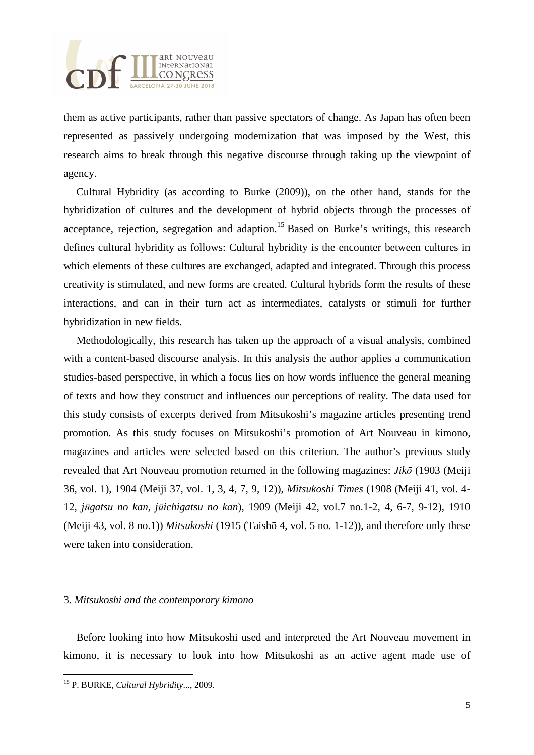

them as active participants, rather than passive spectators of change. As Japan has often been represented as passively undergoing modernization that was imposed by the West, this research aims to break through this negative discourse through taking up the viewpoint of agency.

Cultural Hybridity (as according to Burke (2009)), on the other hand, stands for the hybridization of cultures and the development of hybrid objects through the processes of acceptance, rejection, segregation and adaption.<sup>15</sup> Based on Burke's writings, this research defines cultural hybridity as follows: Cultural hybridity is the encounter between cultures in which elements of these cultures are exchanged, adapted and integrated. Through this process creativity is stimulated, and new forms are created. Cultural hybrids form the results of these interactions, and can in their turn act as intermediates, catalysts or stimuli for further hybridization in new fields.

Methodologically, this research has taken up the approach of a visual analysis, combined with a content-based discourse analysis. In this analysis the author applies a communication studies-based perspective, in which a focus lies on how words influence the general meaning of texts and how they construct and influences our perceptions of reality. The data used for this study consists of excerpts derived from Mitsukoshi's magazine articles presenting trend promotion. As this study focuses on Mitsukoshi's promotion of Art Nouveau in kimono, magazines and articles were selected based on this criterion. The author's previous study revealed that Art Nouveau promotion returned in the following magazines: *Jik*ō (1903 (Meiji 36, vol. 1), 1904 (Meiji 37, vol. 1, 3, 4, 7, 9, 12)), *Mitsukoshi Times* (1908 (Meiji 41, vol. 4- 12, *j*ū*gatsu no kan, j*ū*ichigatsu no kan*), 1909 (Meiji 42, vol.7 no.1-2, 4, 6-7, 9-12), 1910 (Meiji 43, vol. 8 no.1)) *Mitsukoshi* (1915 (Taishō 4, vol. 5 no. 1-12)), and therefore only these were taken into consideration.

## 3. *Mitsukoshi and the contemporary kimono*

Before looking into how Mitsukoshi used and interpreted the Art Nouveau movement in kimono, it is necessary to look into how Mitsukoshi as an active agent made use of

<sup>15</sup> P. BURKE, *Cultural Hybridity*..., 2009.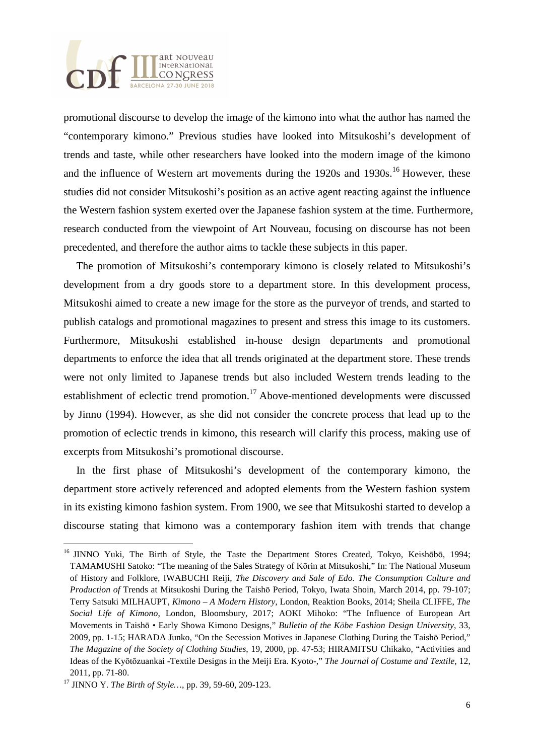

promotional discourse to develop the image of the kimono into what the author has named the "contemporary kimono." Previous studies have looked into Mitsukoshi's development of trends and taste, while other researchers have looked into the modern image of the kimono and the influence of Western art movements during the  $1920s$  and  $1930s$ .<sup>16</sup> However, these studies did not consider Mitsukoshi's position as an active agent reacting against the influence the Western fashion system exerted over the Japanese fashion system at the time. Furthermore, research conducted from the viewpoint of Art Nouveau, focusing on discourse has not been precedented, and therefore the author aims to tackle these subjects in this paper.

The promotion of Mitsukoshi's contemporary kimono is closely related to Mitsukoshi's development from a dry goods store to a department store. In this development process, Mitsukoshi aimed to create a new image for the store as the purveyor of trends, and started to publish catalogs and promotional magazines to present and stress this image to its customers. Furthermore, Mitsukoshi established in-house design departments and promotional departments to enforce the idea that all trends originated at the department store. These trends were not only limited to Japanese trends but also included Western trends leading to the establishment of eclectic trend promotion.<sup>17</sup> Above-mentioned developments were discussed by Jinno (1994). However, as she did not consider the concrete process that lead up to the promotion of eclectic trends in kimono, this research will clarify this process, making use of excerpts from Mitsukoshi's promotional discourse.

In the first phase of Mitsukoshi's development of the contemporary kimono, the department store actively referenced and adopted elements from the Western fashion system in its existing kimono fashion system. From 1900, we see that Mitsukoshi started to develop a discourse stating that kimono was a contemporary fashion item with trends that change

<sup>&</sup>lt;sup>16</sup> JINNO Yuki, The Birth of Style, the Taste the Department Stores Created, Tokyo, Keishōbō, 1994; TAMAMUSHI Satoko: "The meaning of the Sales Strategy of Kōrin at Mitsukoshi," In: The National Museum of History and Folklore, IWABUCHI Reiji, *The Discovery and Sale of Edo. The Consumption Culture and Production of* Trends at Mitsukoshi During the Taishō Period, Tokyo, Iwata Shoin, March 2014, pp. 79-107; Terry Satsuki MILHAUPT, *Kimono – A Modern History*, London, Reaktion Books, 2014; Sheila CLIFFE, *The Social Life of Kimono*, London, Bloomsbury, 2017; AOKI Mihoko: "The Influence of European Art Movements in Taishō • Early Showa Kimono Designs," *Bulletin of the K*ō*be Fashion Design University*, 33, 2009, pp. 1-15; HARADA Junko, "On the Secession Motives in Japanese Clothing During the Taishō Period," *The Magazine of the Society of Clothing Studies*, 19, 2000, pp. 47-53; HIRAMITSU Chikako, "Activities and Ideas of the Kyōtōzuankai -Textile Designs in the Meiji Era. Kyoto-," *The Journal of Costume and Textile*, 12, 2011, pp. 71-80.

<sup>17</sup> JINNO Y. *The Birth of Style…*, pp. 39, 59-60, 209-123.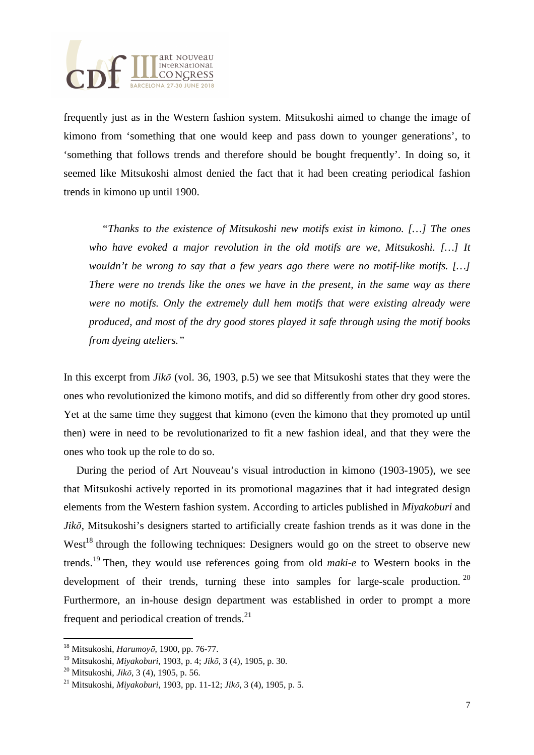

frequently just as in the Western fashion system. Mitsukoshi aimed to change the image of kimono from 'something that one would keep and pass down to younger generations', to 'something that follows trends and therefore should be bought frequently'. In doing so, it seemed like Mitsukoshi almost denied the fact that it had been creating periodical fashion trends in kimono up until 1900.

*"Thanks to the existence of Mitsukoshi new motifs exist in kimono. […] The ones who have evoked a major revolution in the old motifs are we, Mitsukoshi. […] It wouldn't be wrong to say that a few years ago there were no motif-like motifs. […] There were no trends like the ones we have in the present, in the same way as there were no motifs. Only the extremely dull hem motifs that were existing already were produced, and most of the dry good stores played it safe through using the motif books from dyeing ateliers."* 

In this excerpt from *Jik*ō (vol. 36, 1903, p.5) we see that Mitsukoshi states that they were the ones who revolutionized the kimono motifs, and did so differently from other dry good stores. Yet at the same time they suggest that kimono (even the kimono that they promoted up until then) were in need to be revolutionarized to fit a new fashion ideal, and that they were the ones who took up the role to do so.

During the period of Art Nouveau's visual introduction in kimono (1903-1905), we see that Mitsukoshi actively reported in its promotional magazines that it had integrated design elements from the Western fashion system. According to articles published in *Miyakoburi* and *Jik*ō, Mitsukoshi's designers started to artificially create fashion trends as it was done in the West<sup>18</sup> through the following techniques: Designers would go on the street to observe new trends.<sup>19</sup> Then, they would use references going from old *maki-e* to Western books in the development of their trends, turning these into samples for large-scale production.  $20$ Furthermore, an in-house design department was established in order to prompt a more frequent and periodical creation of trends. $^{21}$ 

֦

<sup>18</sup> Mitsukoshi, *Harumoy*ō, 1900, pp. 76-77.

<sup>19</sup> Mitsukoshi, *Miyakoburi*, 1903, p. 4; *Jik*ō, 3 (4), 1905, p. 30.

<sup>20</sup> Mitsukoshi, *Jik*ō, 3 (4), 1905, p. 56.

<sup>21</sup> Mitsukoshi, *Miyakoburi*, 1903, pp. 11-12; *Jik*ō, 3 (4), 1905, p. 5.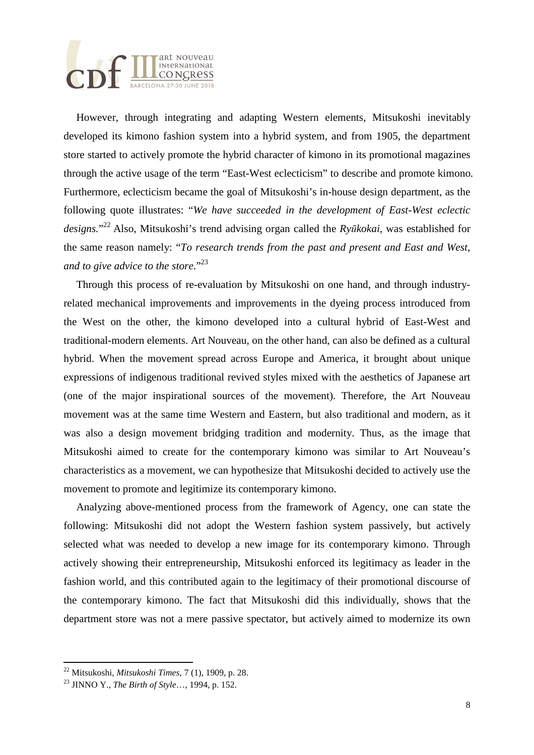

However, through integrating and adapting Western elements, Mitsukoshi inevitably developed its kimono fashion system into a hybrid system, and from 1905, the department store started to actively promote the hybrid character of kimono in its promotional magazines through the active usage of the term "East-West eclecticism" to describe and promote kimono. Furthermore, eclecticism became the goal of Mitsukoshi's in-house design department, as the following quote illustrates: "*We have succeeded in the development of East-West eclectic designs.*" <sup>22</sup> Also, Mitsukoshi's trend advising organ called the *Ry*ū*kokai*, was established for the same reason namely: "*To research trends from the past and present and East and West, and to give advice to the store*."<sup>23</sup>

Through this process of re-evaluation by Mitsukoshi on one hand, and through industryrelated mechanical improvements and improvements in the dyeing process introduced from the West on the other, the kimono developed into a cultural hybrid of East-West and traditional-modern elements. Art Nouveau, on the other hand, can also be defined as a cultural hybrid. When the movement spread across Europe and America, it brought about unique expressions of indigenous traditional revived styles mixed with the aesthetics of Japanese art (one of the major inspirational sources of the movement). Therefore, the Art Nouveau movement was at the same time Western and Eastern, but also traditional and modern, as it was also a design movement bridging tradition and modernity. Thus, as the image that Mitsukoshi aimed to create for the contemporary kimono was similar to Art Nouveau's characteristics as a movement, we can hypothesize that Mitsukoshi decided to actively use the movement to promote and legitimize its contemporary kimono.

Analyzing above-mentioned process from the framework of Agency, one can state the following: Mitsukoshi did not adopt the Western fashion system passively, but actively selected what was needed to develop a new image for its contemporary kimono. Through actively showing their entrepreneurship, Mitsukoshi enforced its legitimacy as leader in the fashion world, and this contributed again to the legitimacy of their promotional discourse of the contemporary kimono. The fact that Mitsukoshi did this individually, shows that the department store was not a mere passive spectator, but actively aimed to modernize its own

֦

<sup>22</sup> Mitsukoshi, *Mitsukoshi Times*, 7 (1), 1909, p. 28.

<sup>23</sup> JINNO Y., *The Birth of Style*…, 1994, p. 152.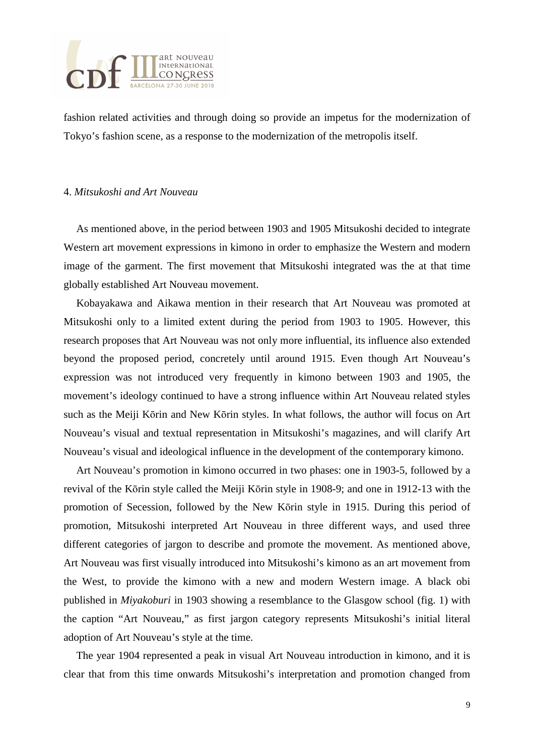

fashion related activities and through doing so provide an impetus for the modernization of Tokyo's fashion scene, as a response to the modernization of the metropolis itself.

#### 4. *Mitsukoshi and Art Nouveau*

As mentioned above, in the period between 1903 and 1905 Mitsukoshi decided to integrate Western art movement expressions in kimono in order to emphasize the Western and modern image of the garment. The first movement that Mitsukoshi integrated was the at that time globally established Art Nouveau movement.

Kobayakawa and Aikawa mention in their research that Art Nouveau was promoted at Mitsukoshi only to a limited extent during the period from 1903 to 1905. However, this research proposes that Art Nouveau was not only more influential, its influence also extended beyond the proposed period, concretely until around 1915. Even though Art Nouveau's expression was not introduced very frequently in kimono between 1903 and 1905, the movement's ideology continued to have a strong influence within Art Nouveau related styles such as the Meiji Kōrin and New Kōrin styles. In what follows, the author will focus on Art Nouveau's visual and textual representation in Mitsukoshi's magazines, and will clarify Art Nouveau's visual and ideological influence in the development of the contemporary kimono.

Art Nouveau's promotion in kimono occurred in two phases: one in 1903-5, followed by a revival of the Kōrin style called the Meiji Kōrin style in 1908-9; and one in 1912-13 with the promotion of Secession, followed by the New Kōrin style in 1915. During this period of promotion, Mitsukoshi interpreted Art Nouveau in three different ways, and used three different categories of jargon to describe and promote the movement. As mentioned above, Art Nouveau was first visually introduced into Mitsukoshi's kimono as an art movement from the West, to provide the kimono with a new and modern Western image. A black obi published in *Miyakoburi* in 1903 showing a resemblance to the Glasgow school (fig. 1) with the caption "Art Nouveau," as first jargon category represents Mitsukoshi's initial literal adoption of Art Nouveau's style at the time.

The year 1904 represented a peak in visual Art Nouveau introduction in kimono, and it is clear that from this time onwards Mitsukoshi's interpretation and promotion changed from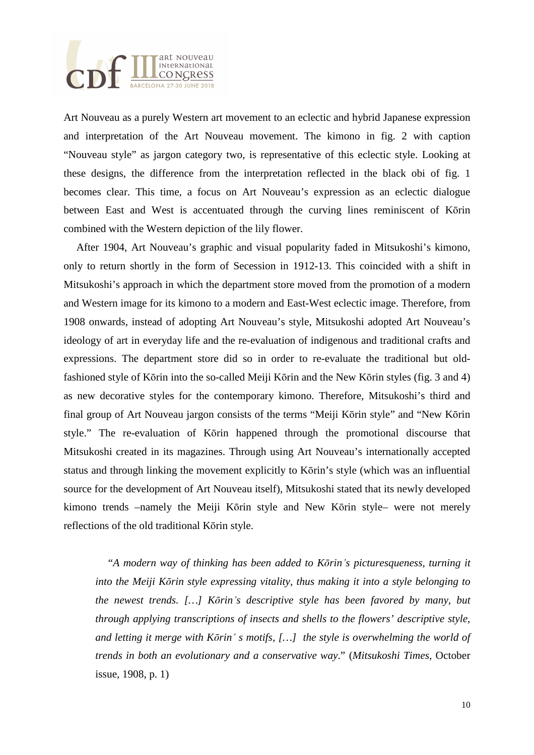

Art Nouveau as a purely Western art movement to an eclectic and hybrid Japanese expression and interpretation of the Art Nouveau movement. The kimono in fig. 2 with caption "Nouveau style" as jargon category two, is representative of this eclectic style. Looking at these designs, the difference from the interpretation reflected in the black obi of fig. 1 becomes clear. This time, a focus on Art Nouveau's expression as an eclectic dialogue between East and West is accentuated through the curving lines reminiscent of Kōrin combined with the Western depiction of the lily flower.

After 1904, Art Nouveau's graphic and visual popularity faded in Mitsukoshi's kimono, only to return shortly in the form of Secession in 1912-13. This coincided with a shift in Mitsukoshi's approach in which the department store moved from the promotion of a modern and Western image for its kimono to a modern and East-West eclectic image. Therefore, from 1908 onwards, instead of adopting Art Nouveau's style, Mitsukoshi adopted Art Nouveau's ideology of art in everyday life and the re-evaluation of indigenous and traditional crafts and expressions. The department store did so in order to re-evaluate the traditional but oldfashioned style of Kōrin into the so-called Meiji Kōrin and the New Kōrin styles (fig. 3 and 4) as new decorative styles for the contemporary kimono. Therefore, Mitsukoshi's third and final group of Art Nouveau jargon consists of the terms "Meiji Kōrin style" and "New Kōrin style." The re-evaluation of Kōrin happened through the promotional discourse that Mitsukoshi created in its magazines. Through using Art Nouveau's internationally accepted status and through linking the movement explicitly to Kōrin's style (which was an influential source for the development of Art Nouveau itself), Mitsukoshi stated that its newly developed kimono trends –namely the Meiji Kōrin style and New Kōrin style– were not merely reflections of the old traditional Kōrin style.

"*A modern way of thinking has been added to K*ō*rin*'*s picturesqueness, turning it into the Meiji K*ō*rin style expressing vitality, thus making it into a style belonging to the newest trends. […] K*ō*rin*'*s descriptive style has been favored by many, but through applying transcriptions of insects and shells to the flowers' descriptive style, and letting it merge with K*ō*rin*' *s motifs, […] the style is overwhelming the world of trends in both an evolutionary and a conservative way*." (*Mitsukoshi Times*, October issue, 1908, p. 1)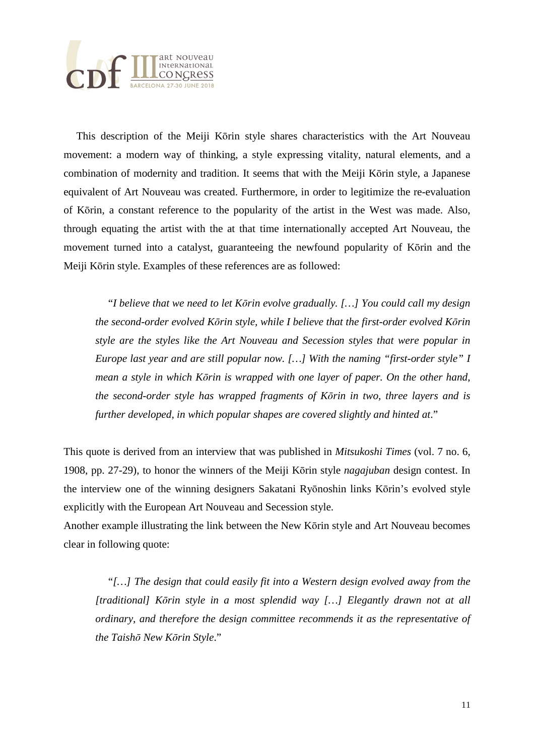

This description of the Meiji Kōrin style shares characteristics with the Art Nouveau movement: a modern way of thinking, a style expressing vitality, natural elements, and a combination of modernity and tradition. It seems that with the Meiji Kōrin style, a Japanese equivalent of Art Nouveau was created. Furthermore, in order to legitimize the re-evaluation of Kōrin, a constant reference to the popularity of the artist in the West was made. Also, through equating the artist with the at that time internationally accepted Art Nouveau, the movement turned into a catalyst, guaranteeing the newfound popularity of Kōrin and the Meiji Kōrin style. Examples of these references are as followed:

"*I believe that we need to let K*ō*rin evolve gradually. […] You could call my design the second-order evolved K*ō*rin style, while I believe that the first-order evolved K*ō*rin style are the styles like the Art Nouveau and Secession styles that were popular in Europe last year and are still popular now. […] With the naming "first-order style" I mean a style in which K*ō*rin is wrapped with one layer of paper. On the other hand, the second-order style has wrapped fragments of K*ō*rin in two, three layers and is further developed, in which popular shapes are covered slightly and hinted at*."

This quote is derived from an interview that was published in *Mitsukoshi Times* (vol. 7 no. 6, 1908, pp. 27-29), to honor the winners of the Meiji Kōrin style *nagajuban* design contest. In the interview one of the winning designers Sakatani Ryōnoshin links Kōrin's evolved style explicitly with the European Art Nouveau and Secession style.

Another example illustrating the link between the New Kōrin style and Art Nouveau becomes clear in following quote:

"*[…] The design that could easily fit into a Western design evolved away from the [traditional] K*ō*rin style in a most splendid way […] Elegantly drawn not at all ordinary, and therefore the design committee recommends it as the representative of the Taish*ō *New K*ō*rin Style*."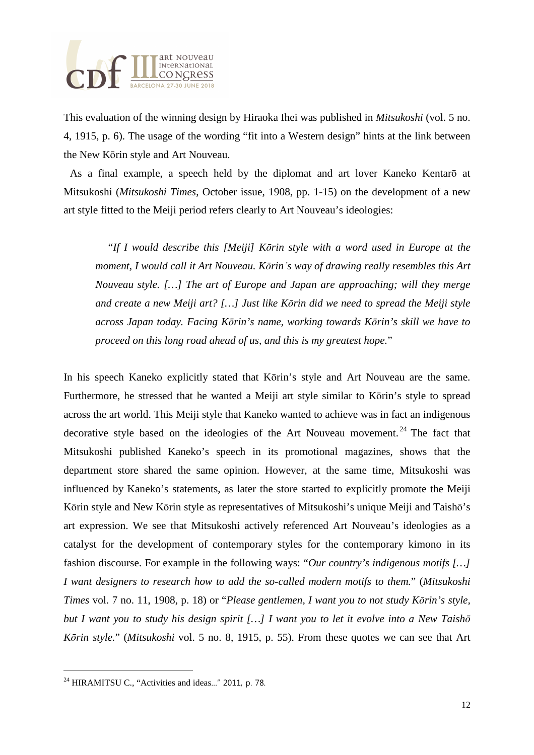

This evaluation of the winning design by Hiraoka Ihei was published in *Mitsukoshi* (vol. 5 no. 4, 1915, p. 6). The usage of the wording "fit into a Western design" hints at the link between the New Kōrin style and Art Nouveau.

As a final example, a speech held by the diplomat and art lover Kaneko Kentarō at Mitsukoshi (*Mitsukoshi Times*, October issue, 1908, pp. 1-15) on the development of a new art style fitted to the Meiji period refers clearly to Art Nouveau's ideologies:

"*If I would describe this [Meiji] K*ō*rin style with a word used in Europe at the moment, I would call it Art Nouveau. K*ō*rin*'*s way of drawing really resembles this Art Nouveau style. […] The art of Europe and Japan are approaching; will they merge and create a new Meiji art? […] Just like K*ō*rin did we need to spread the Meiji style across Japan today. Facing K*ō*rin's name, working towards K*ō*rin's skill we have to proceed on this long road ahead of us, and this is my greatest hope.*"

In his speech Kaneko explicitly stated that Kōrin's style and Art Nouveau are the same. Furthermore, he stressed that he wanted a Meiji art style similar to Kōrin's style to spread across the art world. This Meiji style that Kaneko wanted to achieve was in fact an indigenous decorative style based on the ideologies of the Art Nouveau movement.<sup>24</sup> The fact that Mitsukoshi published Kaneko's speech in its promotional magazines, shows that the department store shared the same opinion. However, at the same time, Mitsukoshi was influenced by Kaneko's statements, as later the store started to explicitly promote the Meiji Kōrin style and New Kōrin style as representatives of Mitsukoshi's unique Meiji and Taishō's art expression. We see that Mitsukoshi actively referenced Art Nouveau's ideologies as a catalyst for the development of contemporary styles for the contemporary kimono in its fashion discourse. For example in the following ways: "*Our country's indigenous motifs […] I want designers to research how to add the so-called modern motifs to them.*" (*Mitsukoshi Times* vol. 7 no. 11, 1908, p. 18) or "*Please gentlemen, I want you to not study K*ō*rin's style, but I want you to study his design spirit […] I want you to let it evolve into a New Taish*ō *K*ō*rin style.*" (*Mitsukoshi* vol. 5 no. 8, 1915, p. 55). From these quotes we can see that Art

֦

<sup>&</sup>lt;sup>24</sup> HIRAMITSU C., "Activities and ideas..." 2011, p. 78.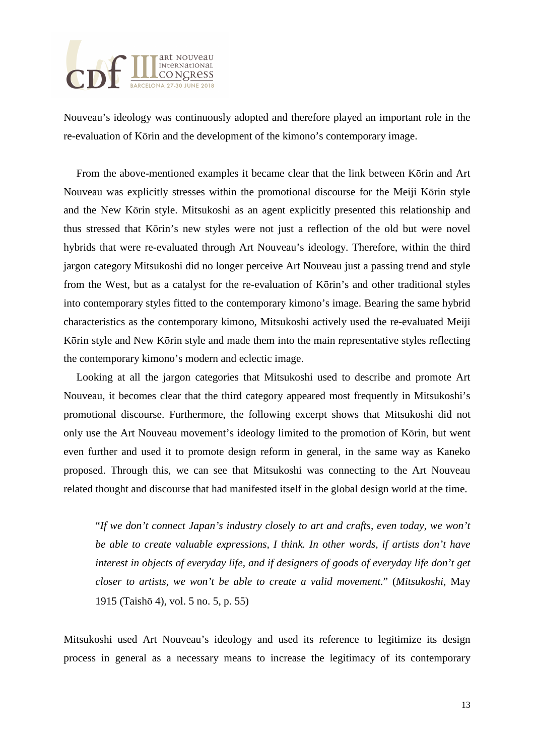

Nouveau's ideology was continuously adopted and therefore played an important role in the re-evaluation of Kōrin and the development of the kimono's contemporary image.

From the above-mentioned examples it became clear that the link between Kōrin and Art Nouveau was explicitly stresses within the promotional discourse for the Meiji Kōrin style and the New Kōrin style. Mitsukoshi as an agent explicitly presented this relationship and thus stressed that Kōrin's new styles were not just a reflection of the old but were novel hybrids that were re-evaluated through Art Nouveau's ideology. Therefore, within the third jargon category Mitsukoshi did no longer perceive Art Nouveau just a passing trend and style from the West, but as a catalyst for the re-evaluation of Kōrin's and other traditional styles into contemporary styles fitted to the contemporary kimono's image. Bearing the same hybrid characteristics as the contemporary kimono, Mitsukoshi actively used the re-evaluated Meiji Kōrin style and New Kōrin style and made them into the main representative styles reflecting the contemporary kimono's modern and eclectic image.

Looking at all the jargon categories that Mitsukoshi used to describe and promote Art Nouveau, it becomes clear that the third category appeared most frequently in Mitsukoshi's promotional discourse. Furthermore, the following excerpt shows that Mitsukoshi did not only use the Art Nouveau movement's ideology limited to the promotion of Kōrin, but went even further and used it to promote design reform in general, in the same way as Kaneko proposed. Through this, we can see that Mitsukoshi was connecting to the Art Nouveau related thought and discourse that had manifested itself in the global design world at the time.

"*If we don't connect Japan's industry closely to art and crafts, even today, we won't be able to create valuable expressions, I think. In other words, if artists don't have interest in objects of everyday life, and if designers of goods of everyday life don't get closer to artists, we won't be able to create a valid movement.*" (*Mitsukoshi*, May 1915 (Taishō 4), vol. 5 no. 5, p. 55)

Mitsukoshi used Art Nouveau's ideology and used its reference to legitimize its design process in general as a necessary means to increase the legitimacy of its contemporary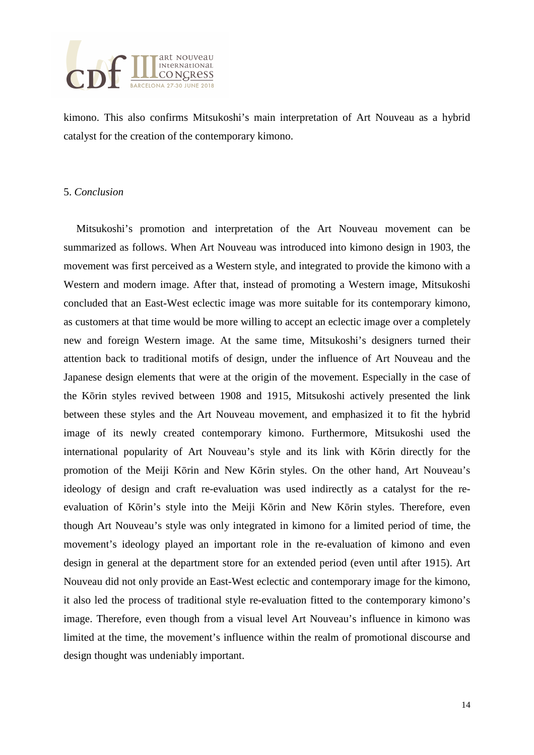

kimono. This also confirms Mitsukoshi's main interpretation of Art Nouveau as a hybrid catalyst for the creation of the contemporary kimono.

#### 5. *Conclusion*

Mitsukoshi's promotion and interpretation of the Art Nouveau movement can be summarized as follows. When Art Nouveau was introduced into kimono design in 1903, the movement was first perceived as a Western style, and integrated to provide the kimono with a Western and modern image. After that, instead of promoting a Western image, Mitsukoshi concluded that an East-West eclectic image was more suitable for its contemporary kimono, as customers at that time would be more willing to accept an eclectic image over a completely new and foreign Western image. At the same time, Mitsukoshi's designers turned their attention back to traditional motifs of design, under the influence of Art Nouveau and the Japanese design elements that were at the origin of the movement. Especially in the case of the Kōrin styles revived between 1908 and 1915, Mitsukoshi actively presented the link between these styles and the Art Nouveau movement, and emphasized it to fit the hybrid image of its newly created contemporary kimono. Furthermore, Mitsukoshi used the international popularity of Art Nouveau's style and its link with Kōrin directly for the promotion of the Meiji Kōrin and New Kōrin styles. On the other hand, Art Nouveau's ideology of design and craft re-evaluation was used indirectly as a catalyst for the reevaluation of Kōrin's style into the Meiji Kōrin and New Kōrin styles. Therefore, even though Art Nouveau's style was only integrated in kimono for a limited period of time, the movement's ideology played an important role in the re-evaluation of kimono and even design in general at the department store for an extended period (even until after 1915). Art Nouveau did not only provide an East-West eclectic and contemporary image for the kimono, it also led the process of traditional style re-evaluation fitted to the contemporary kimono's image. Therefore, even though from a visual level Art Nouveau's influence in kimono was limited at the time, the movement's influence within the realm of promotional discourse and design thought was undeniably important.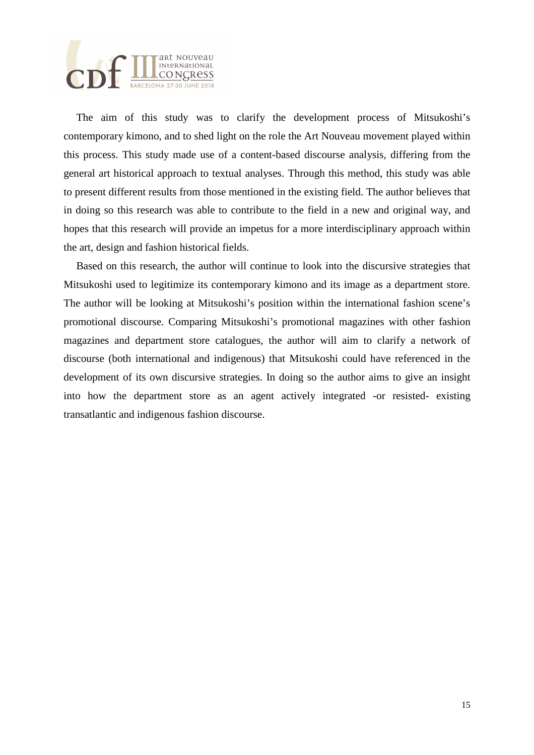

The aim of this study was to clarify the development process of Mitsukoshi's contemporary kimono, and to shed light on the role the Art Nouveau movement played within this process. This study made use of a content-based discourse analysis, differing from the general art historical approach to textual analyses. Through this method, this study was able to present different results from those mentioned in the existing field. The author believes that in doing so this research was able to contribute to the field in a new and original way, and hopes that this research will provide an impetus for a more interdisciplinary approach within the art, design and fashion historical fields.

Based on this research, the author will continue to look into the discursive strategies that Mitsukoshi used to legitimize its contemporary kimono and its image as a department store. The author will be looking at Mitsukoshi's position within the international fashion scene's promotional discourse. Comparing Mitsukoshi's promotional magazines with other fashion magazines and department store catalogues, the author will aim to clarify a network of discourse (both international and indigenous) that Mitsukoshi could have referenced in the development of its own discursive strategies. In doing so the author aims to give an insight into how the department store as an agent actively integrated -or resisted- existing transatlantic and indigenous fashion discourse.